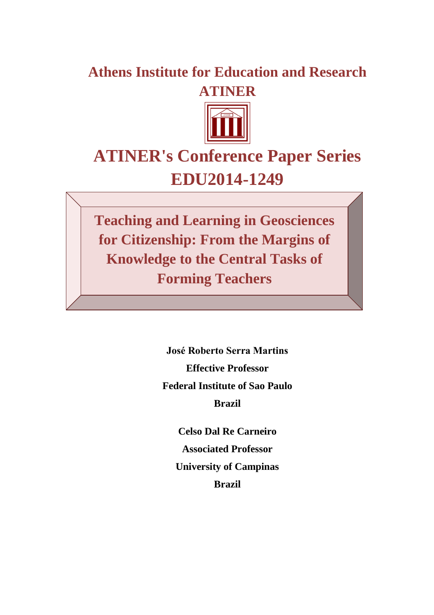## **Athens Institute for Education and Research ATINER**



# **ATINER's Conference Paper Series EDU2014-1249**

**Teaching and Learning in Geosciences for Citizenship: From the Margins of Knowledge to the Central Tasks of Forming Teachers**

> **José Roberto Serra Martins Effective Professor Federal Institute of Sao Paulo Brazil**

> > **Celso Dal Re Carneiro Associated Professor University of Campinas Brazil**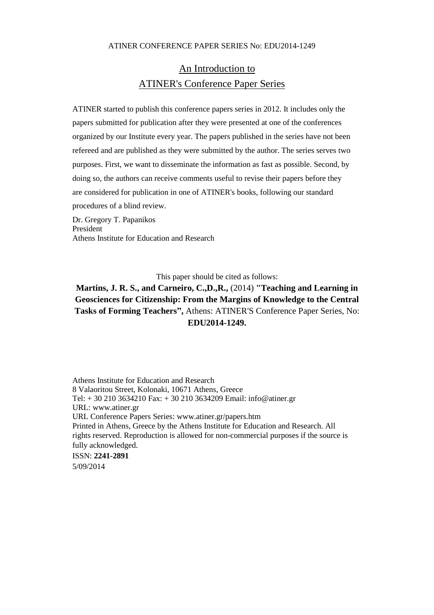## An Introduction to ATINER's Conference Paper Series

ATINER started to publish this conference papers series in 2012. It includes only the papers submitted for publication after they were presented at one of the conferences organized by our Institute every year. The papers published in the series have not been refereed and are published as they were submitted by the author. The series serves two purposes. First, we want to disseminate the information as fast as possible. Second, by doing so, the authors can receive comments useful to revise their papers before they are considered for publication in one of ATINER's books, following our standard procedures of a blind review.

Dr. Gregory T. Papanikos President Athens Institute for Education and Research

This paper should be cited as follows:

**Martins, J. R. S., and Carneiro, C.,D.,R.,** (2014) **"Teaching and Learning in Geosciences for Citizenship: From the Margins of Knowledge to the Central Tasks of Forming Teachers",** Athens: ATINER'S Conference Paper Series, No: **EDU2014-1249.**

Athens Institute for Education and Research 8 Valaoritou Street, Kolonaki, 10671 Athens, Greece Tel: + 30 210 3634210 Fax: + 30 210 3634209 Email: info@atiner.gr URL: www.atiner.gr URL Conference Papers Series: www.atiner.gr/papers.htm Printed in Athens, Greece by the Athens Institute for Education and Research. All rights reserved. Reproduction is allowed for non-commercial purposes if the source is fully acknowledged. ISSN: **2241-2891** 5/09/2014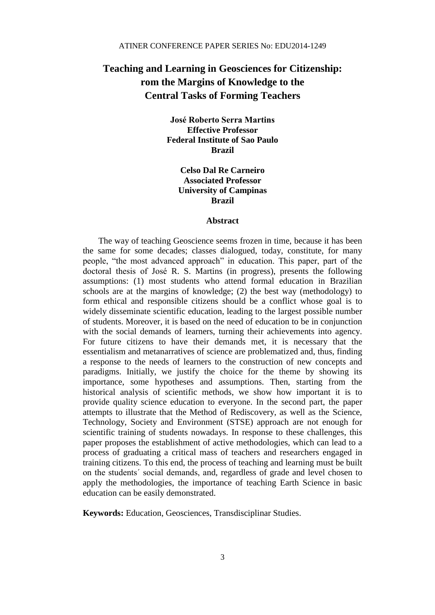### **Teaching and Learning in Geosciences for Citizenship: rom the Margins of Knowledge to the Central Tasks of Forming Teachers**

**José Roberto Serra Martins Effective Professor Federal Institute of Sao Paulo Brazil**

> **Celso Dal Re Carneiro Associated Professor University of Campinas Brazil**

#### **Abstract**

The way of teaching Geoscience seems frozen in time, because it has been the same for some decades; classes dialogued, today, constitute, for many people, "the most advanced approach" in education. This paper, part of the doctoral thesis of José R. S. Martins (in progress), presents the following assumptions: (1) most students who attend formal education in Brazilian schools are at the margins of knowledge; (2) the best way (methodology) to form ethical and responsible citizens should be a conflict whose goal is to widely disseminate scientific education, leading to the largest possible number of students. Moreover, it is based on the need of education to be in conjunction with the social demands of learners, turning their achievements into agency. For future citizens to have their demands met, it is necessary that the essentialism and metanarratives of science are problematized and, thus, finding a response to the needs of learners to the construction of new concepts and paradigms. Initially, we justify the choice for the theme by showing its importance, some hypotheses and assumptions. Then, starting from the historical analysis of scientific methods, we show how important it is to provide quality science education to everyone. In the second part, the paper attempts to illustrate that the Method of Rediscovery, as well as the Science, Technology, Society and Environment (STSE) approach are not enough for scientific training of students nowadays. In response to these challenges, this paper proposes the establishment of active methodologies, which can lead to a process of graduating a critical mass of teachers and researchers engaged in training citizens. To this end, the process of teaching and learning must be built on the students´ social demands, and, regardless of grade and level chosen to apply the methodologies, the importance of teaching Earth Science in basic education can be easily demonstrated.

**Keywords:** Education, Geosciences, Transdisciplinar Studies.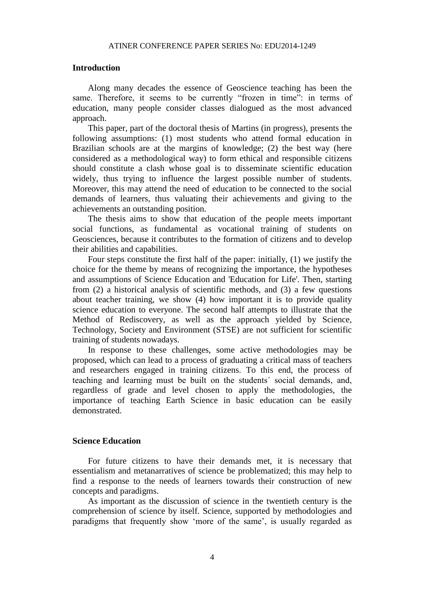#### **Introduction**

Along many decades the essence of Geoscience teaching has been the same. Therefore, it seems to be currently "frozen in time": in terms of education, many people consider classes dialogued as the most advanced approach.

This paper, part of the doctoral thesis of Martins (in progress), presents the following assumptions: (1) most students who attend formal education in Brazilian schools are at the margins of knowledge; (2) the best way (here considered as a methodological way) to form ethical and responsible citizens should constitute a clash whose goal is to disseminate scientific education widely, thus trying to influence the largest possible number of students. Moreover, this may attend the need of education to be connected to the social demands of learners, thus valuating their achievements and giving to the achievements an outstanding position.

The thesis aims to show that education of the people meets important social functions, as fundamental as vocational training of students on Geosciences, because it contributes to the formation of citizens and to develop their abilities and capabilities.

Four steps constitute the first half of the paper: initially, (1) we justify the choice for the theme by means of recognizing the importance, the hypotheses and assumptions of Science Education and 'Education for Life'. Then, starting from (2) a historical analysis of scientific methods, and (3) a few questions about teacher training, we show (4) how important it is to provide quality science education to everyone. The second half attempts to illustrate that the Method of Rediscovery, as well as the approach yielded by Science, Technology, Society and Environment (STSE) are not sufficient for scientific training of students nowadays.

In response to these challenges, some active methodologies may be proposed, which can lead to a process of graduating a critical mass of teachers and researchers engaged in training citizens. To this end, the process of teaching and learning must be built on the students´ social demands, and, regardless of grade and level chosen to apply the methodologies, the importance of teaching Earth Science in basic education can be easily demonstrated.

#### **Science Education**

For future citizens to have their demands met, it is necessary that essentialism and metanarratives of science be problematized; this may help to find a response to the needs of learners towards their construction of new concepts and paradigms.

As important as the discussion of science in the twentieth century is the comprehension of science by itself. Science, supported by methodologies and paradigms that frequently show 'more of the same', is usually regarded as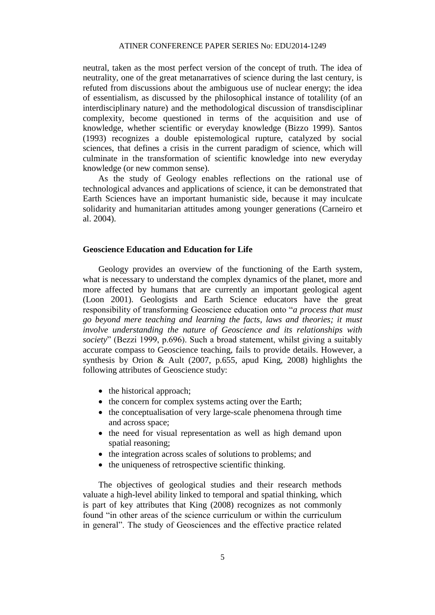neutral, taken as the most perfect version of the concept of truth. The idea of neutrality, one of the great metanarratives of science during the last century, is refuted from discussions about the ambiguous use of nuclear energy; the idea of essentialism, as discussed by the philosophical instance of totalility (of an interdisciplinary nature) and the methodological discussion of transdisciplinar complexity, become questioned in terms of the acquisition and use of knowledge, whether scientific or everyday knowledge (Bizzo 1999). Santos (1993) recognizes a double epistemological rupture, catalyzed by social sciences, that defines a crisis in the current paradigm of science, which will culminate in the transformation of scientific knowledge into new everyday knowledge (or new common sense).

As the study of Geology enables reflections on the rational use of technological advances and applications of science, it can be demonstrated that Earth Sciences have an important humanistic side, because it may inculcate solidarity and humanitarian attitudes among younger generations (Carneiro et al. 2004).

#### **Geoscience Education and Education for Life**

Geology provides an overview of the functioning of the Earth system, what is necessary to understand the complex dynamics of the planet, more and more affected by humans that are currently an important geological agent (Loon 2001). Geologists and Earth Science educators have the great responsibility of transforming Geoscience education onto "*a process that must go beyond mere teaching and learning the facts, laws and theories; it must involve understanding the nature of Geoscience and its relationships with society*" (Bezzi 1999, p.696). Such a broad statement, whilst giving a suitably accurate compass to Geoscience teaching, fails to provide details. However, a synthesis by Orion & Ault (2007, p.655, apud King, 2008) highlights the following attributes of Geoscience study:

- $\bullet$  the historical approach;
- the concern for complex systems acting over the Earth;
- the conceptualisation of very large-scale phenomena through time and across space;
- the need for visual representation as well as high demand upon spatial reasoning;
- the integration across scales of solutions to problems; and
- the uniqueness of retrospective scientific thinking.

The objectives of geological studies and their research methods valuate a high-level ability linked to temporal and spatial thinking, which is part of key attributes that King (2008) recognizes as not commonly found "in other areas of the science curriculum or within the curriculum in general". The study of Geosciences and the effective practice related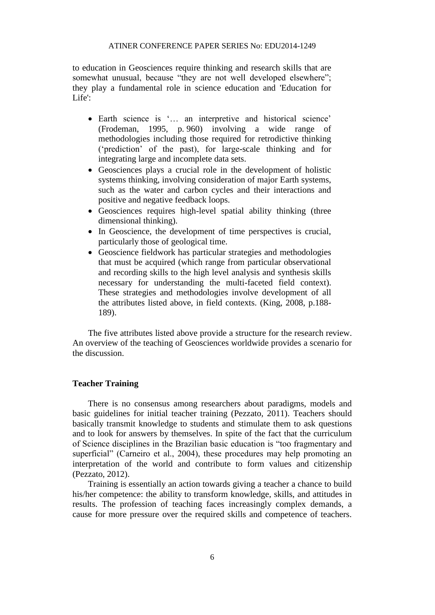to education in Geosciences require thinking and research skills that are somewhat unusual, because "they are not well developed elsewhere"; they play a fundamental role in science education and 'Education for Life':

- Earth science is '… an interpretive and historical science' (Frodeman, 1995, p. 960) involving a wide range of methodologies including those required for retrodictive thinking ('prediction' of the past), for large-scale thinking and for integrating large and incomplete data sets.
- Geosciences plays a crucial role in the development of holistic systems thinking, involving consideration of major Earth systems, such as the water and carbon cycles and their interactions and positive and negative feedback loops.
- Geosciences requires high-level spatial ability thinking (three dimensional thinking).
- In Geoscience, the development of time perspectives is crucial, particularly those of geological time.
- Geoscience fieldwork has particular strategies and methodologies that must be acquired (which range from particular observational and recording skills to the high level analysis and synthesis skills necessary for understanding the multi-faceted field context). These strategies and methodologies involve development of all the attributes listed above, in field contexts. (King, 2008, p.188- 189).

The five attributes listed above provide a structure for the research review. An overview of the teaching of Geosciences worldwide provides a scenario for the discussion.

#### **Teacher Training**

There is no consensus among researchers about paradigms, models and basic guidelines for initial teacher training (Pezzato, 2011). Teachers should basically transmit knowledge to students and stimulate them to ask questions and to look for answers by themselves. In spite of the fact that the curriculum of Science disciplines in the Brazilian basic education is "too fragmentary and superficial" (Carneiro et al., 2004), these procedures may help promoting an interpretation of the world and contribute to form values and citizenship (Pezzato, 2012).

Training is essentially an action towards giving a teacher a chance to build his/her competence: the ability to transform knowledge, skills, and attitudes in results. The profession of teaching faces increasingly complex demands, a cause for more pressure over the required skills and competence of teachers.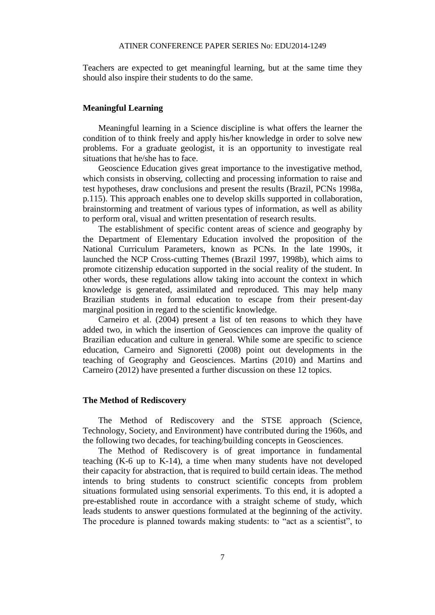Teachers are expected to get meaningful learning, but at the same time they should also inspire their students to do the same.

#### **Meaningful Learning**

Meaningful learning in a Science discipline is what offers the learner the condition of to think freely and apply his/her knowledge in order to solve new problems. For a graduate geologist, it is an opportunity to investigate real situations that he/she has to face.

Geoscience Education gives great importance to the investigative method, which consists in observing, collecting and processing information to raise and test hypotheses, draw conclusions and present the results (Brazil, PCNs 1998a, p.115). This approach enables one to develop skills supported in collaboration, brainstorming and treatment of various types of information, as well as ability to perform oral, visual and written presentation of research results.

The establishment of specific content areas of science and geography by the Department of Elementary Education involved the proposition of the National Curriculum Parameters, known as PCNs. In the late 1990s, it launched the NCP Cross-cutting Themes (Brazil 1997, 1998b), which aims to promote citizenship education supported in the social reality of the student. In other words, these regulations allow taking into account the context in which knowledge is generated, assimilated and reproduced. This may help many Brazilian students in formal education to escape from their present-day marginal position in regard to the scientific knowledge.

Carneiro et al. (2004) present a list of ten reasons to which they have added two, in which the insertion of Geosciences can improve the quality of Brazilian education and culture in general. While some are specific to science education, Carneiro and Signoretti (2008) point out developments in the teaching of Geography and Geosciences. Martins (2010) and Martins and Carneiro (2012) have presented a further discussion on these 12 topics.

#### **The Method of Rediscovery**

The Method of Rediscovery and the STSE approach (Science, Technology, Society, and Environment) have contributed during the 1960s, and the following two decades, for teaching/building concepts in Geosciences.

The Method of Rediscovery is of great importance in fundamental teaching (K-6 up to K-14), a time when many students have not developed their capacity for abstraction, that is required to build certain ideas. The method intends to bring students to construct scientific concepts from problem situations formulated using sensorial experiments. To this end, it is adopted a pre-established route in accordance with a straight scheme of study, which leads students to answer questions formulated at the beginning of the activity. The procedure is planned towards making students: to "act as a scientist", to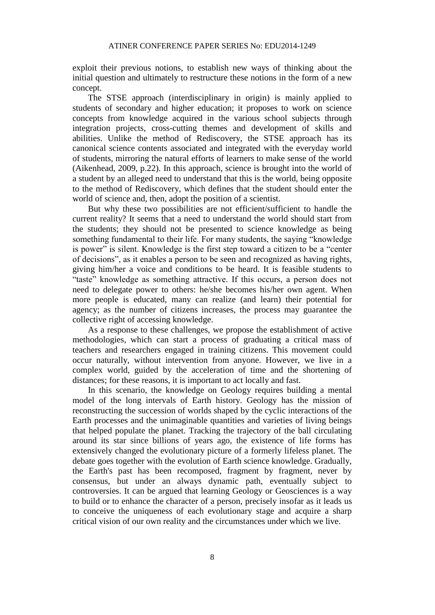exploit their previous notions, to establish new ways of thinking about the initial question and ultimately to restructure these notions in the form of a new concept.

The STSE approach (interdisciplinary in origin) is mainly applied to students of secondary and higher education; it proposes to work on science concepts from knowledge acquired in the various school subjects through integration projects, cross-cutting themes and development of skills and abilities. Unlike the method of Rediscovery, the STSE approach has its canonical science contents associated and integrated with the everyday world of students, mirroring the natural efforts of learners to make sense of the world (Aikenhead, 2009, p.22). In this approach, science is brought into the world of a student by an alleged need to understand that this is the world, being opposite to the method of Rediscovery, which defines that the student should enter the world of science and, then, adopt the position of a scientist.

But why these two possibilities are not efficient/sufficient to handle the current reality? It seems that a need to understand the world should start from the students; they should not be presented to science knowledge as being something fundamental to their life. For many students, the saying "knowledge is power" is silent. Knowledge is the first step toward a citizen to be a "center of decisions", as it enables a person to be seen and recognized as having rights, giving him/her a voice and conditions to be heard. It is feasible students to "taste" knowledge as something attractive. If this occurs, a person does not need to delegate power to others: he/she becomes his/her own agent. When more people is educated, many can realize (and learn) their potential for agency; as the number of citizens increases, the process may guarantee the collective right of accessing knowledge.

As a response to these challenges, we propose the establishment of active methodologies, which can start a process of graduating a critical mass of teachers and researchers engaged in training citizens. This movement could occur naturally, without intervention from anyone. However, we live in a complex world, guided by the acceleration of time and the shortening of distances; for these reasons, it is important to act locally and fast.

In this scenario, the knowledge on Geology requires building a mental model of the long intervals of Earth history. Geology has the mission of reconstructing the succession of worlds shaped by the cyclic interactions of the Earth processes and the unimaginable quantities and varieties of living beings that helped populate the planet. Tracking the trajectory of the ball circulating around its star since billions of years ago, the existence of life forms has extensively changed the evolutionary picture of a formerly lifeless planet. The debate goes together with the evolution of Earth science knowledge. Gradually, the Earth's past has been recomposed, fragment by fragment, never by consensus, but under an always dynamic path, eventually subject to controversies. It can be argued that learning Geology or Geosciences is a way to build or to enhance the character of a person, precisely insofar as it leads us to conceive the uniqueness of each evolutionary stage and acquire a sharp critical vision of our own reality and the circumstances under which we live.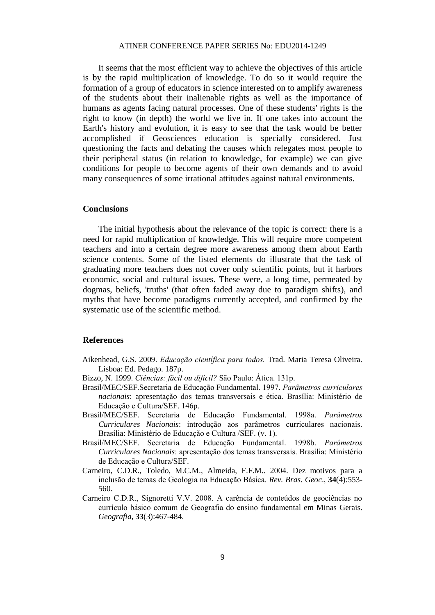It seems that the most efficient way to achieve the objectives of this article is by the rapid multiplication of knowledge. To do so it would require the formation of a group of educators in science interested on to amplify awareness of the students about their inalienable rights as well as the importance of humans as agents facing natural processes. One of these students' rights is the right to know (in depth) the world we live in. If one takes into account the Earth's history and evolution, it is easy to see that the task would be better accomplished if Geosciences education is specially considered. Just questioning the facts and debating the causes which relegates most people to their peripheral status (in relation to knowledge, for example) we can give conditions for people to become agents of their own demands and to avoid many consequences of some irrational attitudes against natural environments.

#### **Conclusions**

The initial hypothesis about the relevance of the topic is correct: there is a need for rapid multiplication of knowledge. This will require more competent teachers and into a certain degree more awareness among them about Earth science contents. Some of the listed elements do illustrate that the task of graduating more teachers does not cover only scientific points, but it harbors economic, social and cultural issues. These were, a long time, permeated by dogmas, beliefs, 'truths' (that often faded away due to paradigm shifts), and myths that have become paradigms currently accepted, and confirmed by the systematic use of the scientific method.

#### **References**

- Aikenhead, G.S. 2009. *Educação científica para todos.* Trad. Maria Teresa Oliveira. Lisboa: Ed. Pedago. 187p.
- Bizzo, N. 1999. *Ciências: fácil ou difícil?* São Paulo: Ática. 131p.
- Brasil/MEC/SEF.Secretaria de Educação Fundamental. 1997. *Parâmetros curriculares nacionais*: apresentação dos temas transversais e ética. Brasília: Ministério de Educação e Cultura/SEF. 146p.
- Brasil/MEC/SEF. Secretaria de Educação Fundamental. 1998a. *Parâmetros Curriculares Nacionais*: introdução aos parâmetros curriculares nacionais. Brasília: Ministério de Educação e Cultura /SEF. (v. 1).
- Brasil/MEC/SEF. Secretaria de Educação Fundamental. 1998b. *Parâmetros Curriculares Nacionais*: apresentação dos temas transversais. Brasília: Ministério de Educação e Cultura/SEF.
- Carneiro, C.D.R., Toledo, M.C.M., Almeida, F.F.M.. 2004. Dez motivos para a inclusão de temas de Geologia na Educação Básica. *Rev. Bras. Geoc*., **34**(4):553- 560.
- Carneiro C.D.R., Signoretti V.V. 2008. A carência de conteúdos de geociências no currículo básico comum de Geografia do ensino fundamental em Minas Gerais. *Geografia*, **33**(3):467-484.